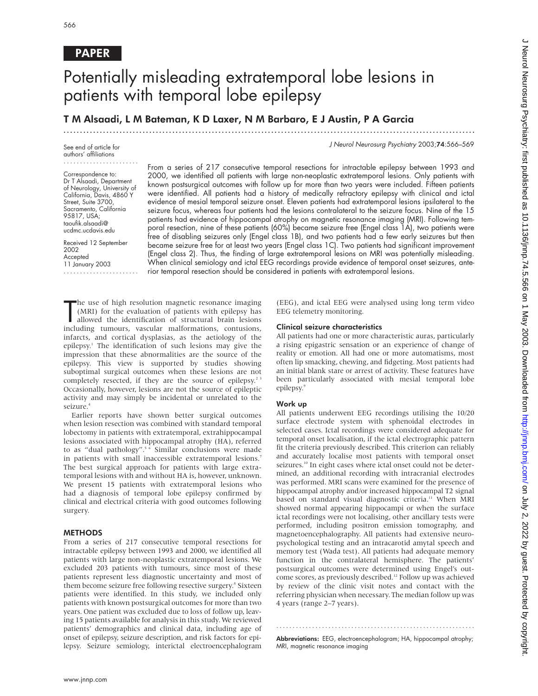### PAPER

# Potentially misleading extratemporal lobe lesions in patients with temporal lobe epilepsy

T M Alsaadi, L M Bateman, K D Laxer, N M Barbaro, E J Austin, P A Garcia

.............................................................................................................................

See end of article for authors' affiliations .......................

Correspondence to: Dr T Alsaadi, Department of Neurology, University of California, Davis, 4860 Y Street, Suite 3700, Sacramento, California 95817, USA; taoufik.alsaadi@ ucdmc.ucdavis.edu

Received 12 September 2002 Accepted 11 January 2003

.......................

From a series of 217 consecutive temporal resections for intractable epilepsy between 1993 and 2000, we identified all patients with large non-neoplastic extratemporal lesions. Only patients with known postsurgical outcomes with follow up for more than two years were included. Fifteen patients were identified. All patients had a history of medically refractory epilepsy with clinical and ictal evidence of mesial temporal seizure onset. Eleven patients had extratemporal lesions ipsilateral to the seizure focus, whereas four patients had the lesions contralateral to the seizure focus. Nine of the 15 patients had evidence of hippocampal atrophy on magnetic resonance imaging (MRI). Following temporal resection, nine of these patients (60%) became seizure free (Engel class 1A), two patients were free of disabling seizures only (Engel class 1B), and two patients had a few early seizures but then became seizure free for at least two years (Engel class 1C). Two patients had significant improvement (Engel class 2). Thus, the finding of large extratemporal lesions on MRI was potentially misleading. When clinical semiology and ictal EEG recordings provide evidence of temporal onset seizures, anterior temporal resection should be considered in patients with extratemporal lesions.

The use of high resolution magnetic resonance imaging<br>(MRI) for the evaluation of patients with epilepsy has<br>allowed the identification of structural brain lesions<br>including tumours, vascular malformations, contusions, he use of high resolution magnetic resonance imaging (MRI) for the evaluation of patients with epilepsy has allowed the identification of structural brain lesions infarcts, and cortical dysplasias, as the aetiology of the epilepsy.1 The identification of such lesions may give the impression that these abnormalities are the source of the epilepsy. This view is supported by studies showing suboptimal surgical outcomes when these lesions are not completely resected, if they are the source of epilepsy.<sup>2 3</sup> Occasionally, however, lesions are not the source of epileptic activity and may simply be incidental or unrelated to the seizure.<sup>4</sup>

Earlier reports have shown better surgical outcomes when lesion resection was combined with standard temporal lobectomy in patients with extratemporal, extrahippocampal lesions associated with hippocampal atrophy (HA), referred to as "dual pathology".<sup>5 6</sup> Similar conclusions were made in patients with small inaccessible extratemporal lesions.7 The best surgical approach for patients with large extratemporal lesions with and without HA is, however, unknown. We present 15 patients with extratemporal lesions who had a diagnosis of temporal lobe epilepsy confirmed by clinical and electrical criteria with good outcomes following surgery.

#### METHODS

From a series of 217 consecutive temporal resections for intractable epilepsy between 1993 and 2000, we identified all patients with large non-neoplastic extratemporal lesions. We excluded 203 patients with tumours, since most of these patients represent less diagnostic uncertainty and most of them become seizure free following resective surgery.<sup>8</sup> Sixteen patients were identified. In this study, we included only patients with known postsurgical outcomes for more than two years. One patient was excluded due to loss of follow up, leaving 15 patients available for analysis in this study. We reviewed patients' demographics and clinical data, including age of onset of epilepsy, seizure description, and risk factors for epilepsy. Seizure semiology, interictal electroencephalogram (EEG), and ictal EEG were analysed using long term video EEG telemetry monitoring.

J Neurol Neurosurg Psychiatry 2003;74:566–569

#### Clinical seizure characteristics

All patients had one or more characteristic auras, particularly a rising epigastric sensation or an experience of change of reality or emotion. All had one or more automatisms, most often lip smacking, chewing, and fidgeting. Most patients had an initial blank stare or arrest of activity. These features have been particularly associated with mesial temporal lobe epilepsy.9

#### Work up

All patients underwent EEG recordings utilising the 10/20 surface electrode system with sphenoidal electrodes in selected cases. Ictal recordings were considered adequate for temporal onset localisation, if the ictal electrographic pattern fit the criteria previously described. This criterion can reliably and accurately localise most patients with temporal onset seizures.<sup>10</sup> In eight cases where ictal onset could not be determined, an additional recording with intracranial electrodes was performed. MRI scans were examined for the presence of hippocampal atrophy and/or increased hippocampal T2 signal based on standard visual diagnostic criteria.<sup>11</sup> When MRI showed normal appearing hippocampi or when the surface ictal recordings were not localising, other ancillary tests were performed, including positron emission tomography, and magnetoencephalography. All patients had extensive neuropsychological testing and an intracarotid amytal speech and memory test (Wada test). All patients had adequate memory function in the contralateral hemisphere. The patients' postsurgical outcomes were determined using Engel's outcome scores, as previously described.<sup>12</sup> Follow up was achieved by review of the clinic visit notes and contact with the referring physician when necessary. The median follow up was 4 years (range 2–7 years).

............................................................. Abbreviations: EEG, electroencephalogram; HA, hippocampal atrophy; MRI, magnetic resonance imaging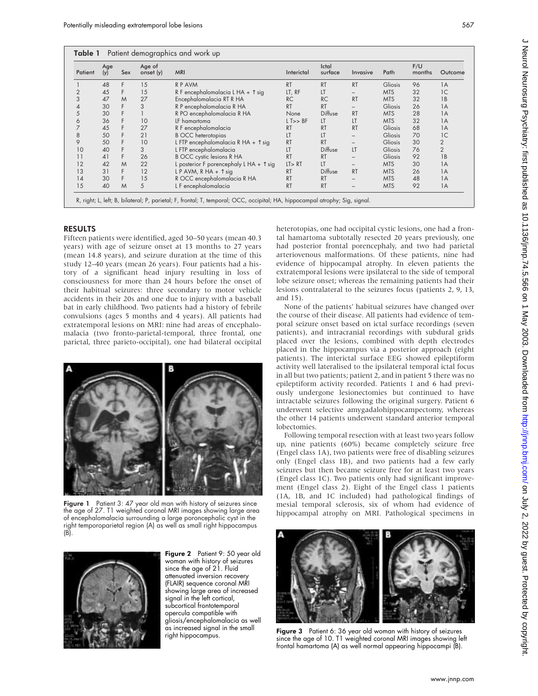| Patient | Age<br>(y) | Sex | Age of<br>onset $(y)$ | <b>MRI</b>                                       | Interictal    | Ictal<br>surface | Invasive          | Path       | F/U<br>months | Outcome        |
|---------|------------|-----|-----------------------|--------------------------------------------------|---------------|------------------|-------------------|------------|---------------|----------------|
|         | 48         | F   | 15                    | <b>RPAVM</b>                                     | <b>RT</b>     | <b>RT</b>        | <b>RT</b>         | Gliosis    | 96            | 1A             |
| 2       | 45         | F   | 15                    | R F encephalomalacia L HA + $\uparrow$ sig       | LT, RF        | LT               | $-$               | <b>MTS</b> | 32            | 1 <sup>C</sup> |
|         | 47         | M   | 27                    | Encephalomalacia RT R HA                         | <b>RC</b>     | <b>RC</b>        | <b>RT</b>         | <b>MTS</b> | 32            | 1 <sub>B</sub> |
| 4       | 30         | F   | 3                     | R P encephalomalacia R HA                        | <b>RT</b>     | <b>RT</b>        | -                 | Gliosis    | 26            | 1A             |
|         | 30         | F   |                       | R PO encephalomalacia R HA                       | None          | Diffuse          | <b>RT</b>         | <b>MTS</b> | 28            | 1A             |
| 6       | 36         | F   | 10                    | LF hamartoma                                     | $L$ T $>>$ BF | LT               | LT                | <b>MTS</b> | 32            | 1A             |
|         | 45         | F   | 27                    | R F encephalomalacia                             | <b>RT</b>     | <b>RT</b>        | <b>RT</b>         | Gliosis    | 68            | 1A             |
| 8       | 50         | F   | 21                    | <b>B</b> OCC heterotopias                        | LT            | LΤ               | -                 | Gliosis    | 70            | 1 <sup>C</sup> |
| 9       | 50         | F   | 10                    | L FTP encephalomalacia R HA + $\uparrow$ sig     | <b>RT</b>     | <b>RT</b>        | -                 | Gliosis    | 30            | $\overline{2}$ |
| 10      | 40         | F   | 3                     | L FTP encephalomalacia                           | LT            | Diffuse          | LT                | Gliosis    | 76            | 2              |
| 11      | 41         | F   | 26                    | <b>B OCC cystic lesions R HA</b>                 | <b>RT</b>     | <b>RT</b>        |                   | Gliosis    | 92            | 1 <sub>B</sub> |
| 12      | 42         | M   | 22                    | L posterior F porencephaly L HA + $\uparrow$ sig | LT > RT       | LT               | -                 | <b>MTS</b> | 30            | 1A             |
| 13      | 31         | F   | 12                    | LP AVM, R HA + $\uparrow$ sig                    | <b>RT</b>     | Diffuse          | <b>RT</b>         | <b>MTS</b> | 26            | 1A             |
| 14      | 30         | F   | 15                    | R OCC encephalomalacia R HA                      | <b>RT</b>     | <b>RT</b>        |                   | <b>MTS</b> | 48            | 1A             |
| 15      | 40         | M   | 5                     | L F encephalomalacia                             | <b>RT</b>     | <b>RT</b>        | $\qquad \qquad -$ | <b>MTS</b> | 92            | 1A             |

#### RESULTS

Fifteen patients were identified, aged 30–50 years (mean 40.3 years) with age of seizure onset at 13 months to 27 years (mean 14.8 years), and seizure duration at the time of this study 12–40 years (mean 26 years). Four patients had a history of a significant head injury resulting in loss of consciousness for more than 24 hours before the onset of their habitual seizures: three secondary to motor vehicle accidents in their 20s and one due to injury with a baseball bat in early childhood. Two patients had a history of febrile convulsions (ages 5 months and 4 years). All patients had extratemporal lesions on MRI: nine had areas of encephalomalacia (two fronto-parietal-temporal, three frontal, one parietal, three parieto-occipital), one had bilateral occipital



Figure 1 Patient 3: 47 year old man with history of seizures since the age of 27. T1 weighted coronal MRI images showing large area of encephalomalacia surrounding a large poroncephalic cyst in the right temporoparietal region (A) as well as small right hippocampus (B).



Figure 2 Patient 9: 50 year old woman with history of seizures since the age of 21. Fluid attenuated inversion recovery (FLAIR) sequence coronal MRI showing large area of increased signal in the left cortical, subcortical frontotemporal opercula compatible with gliosis/encephalomalacia as well as increased signal in the small<br>right hippocampus.

heterotopias, one had occipital cystic lesions, one had a frontal hamartoma subtotally resected 20 years previously, one had posterior frontal porencephaly, and two had parietal arteriovenous malformations. Of these patients, nine had evidence of hippocampal atrophy. In eleven patients the extratemporal lesions were ipsilateral to the side of temporal lobe seizure onset; whereas the remaining patients had their lesions contralateral to the seizures focus (patients 2, 9, 13, and 15).

None of the patients' habitual seizures have changed over the course of their disease. All patients had evidence of temporal seizure onset based on ictal surface recordings (seven patients), and intracranial recordings with subdural grids placed over the lesions, combined with depth electrodes placed in the hippocampus via a posterior approach (eight patients). The interictal surface EEG showed epileptiform activity well lateralised to the ipsilateral temporal ictal focus in all but two patients; patient 2, and in patient 5 there was no epileptiform activity recorded. Patients 1 and 6 had previously undergone lesionectomies but continued to have intractable seizures following the original surgery. Patient 6 underwent selective amygadalohippocampectomy, whereas the other 14 patients underwent standard anterior temporal lobectomies.

Following temporal resection with at least two years follow up, nine patients (60%) became completely seizure free (Engel class 1A), two patients were free of disabling seizures only (Engel class 1B), and two patients had a few early seizures but then became seizure free for at least two years (Engel class 1C). Two patients only had significant improvement (Engel class 2). Eight of the Engel class 1 patients (1A, 1B, and 1C included) had pathological findings of mesial temporal sclerosis, six of whom had evidence of hippocampal atrophy on MRI. Pathological specimens in



Figure 3 Patient 6: 36 year old woman with history of seizures since the age of 10. T1 weighted coronal MRI images showing left frontal hamartoma (A) as well normal appearing hippocampi (B).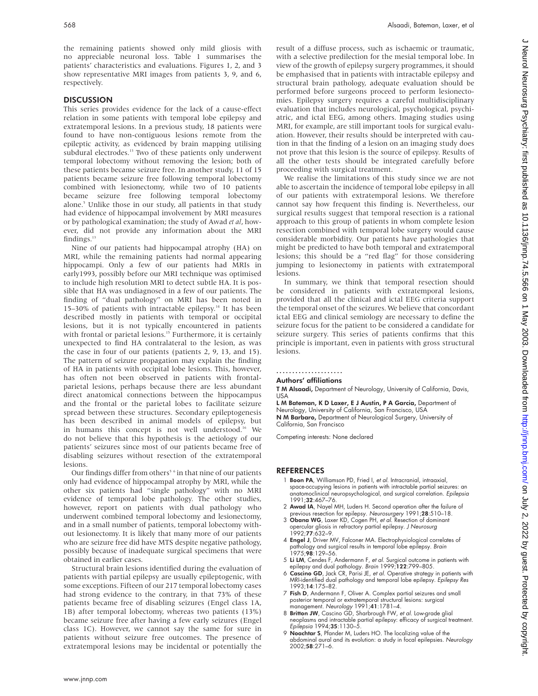the remaining patients showed only mild gliosis with no appreciable neuronal loss. Table 1 summarises the patients' characteristics and evaluations. Figures 1, 2, and 3 show representative MRI images from patients 3, 9, and 6, respectively.

#### **DISCUSSION**

This series provides evidence for the lack of a cause-effect relation in some patients with temporal lobe epilepsy and extratemporal lesions. In a previous study, 18 patients were found to have non-contiguous lesions remote from the epileptic activity, as evidenced by brain mapping utilising subdural electrodes.<sup>13</sup> Two of these patients only underwent temporal lobectomy without removing the lesion; both of these patients became seizure free. In another study, 11 of 15 patients became seizure free following temporal lobectomy combined with lesionectomy, while two of 10 patients became seizure free following temporal lobectomy alone.<sup>5</sup> Unlike those in our study, all patients in that study had evidence of hippocampal involvement by MRI measures or by pathological examination; the study of Awad *et al*, however, did not provide any information about the MRI findings.13

Nine of our patients had hippocampal atrophy (HA) on MRI, while the remaining patients had normal appearing hippocampi. Only a few of our patients had MRIs in early1993, possibly before our MRI technique was optimised to include high resolution MRI to detect subtle HA. It is possible that HA was undiagnosed in a few of our patients. The finding of "dual pathology" on MRI has been noted in 15–30% of patients with intractable epilepsy.<sup>14</sup> It has been described mostly in patients with temporal or occipital lesions, but it is not typically encountered in patients with frontal or parietal lesions.<sup>15</sup> Furthermore, it is certainly unexpected to find HA contralateral to the lesion, as was the case in four of our patients (patients 2, 9, 13, and 15). The pattern of seizure propagation may explain the finding of HA in patients with occipital lobe lesions. This, however, has often not been observed in patients with frontalparietal lesions, perhaps because there are less abundant direct anatomical connections between the hippocampus and the frontal or the parietal lobes to facilitate seizure spread between these structures. Secondary epileptogenesis has been described in animal models of epilepsy, but in humans this concept is not well understood.<sup>16</sup> We do not believe that this hypothesis is the aetiology of our patients' seizures since most of our patients became free of disabling seizures without resection of the extratemporal lesions.

Our findings differ from others<sup>56</sup> in that nine of our patients only had evidence of hippocampal atrophy by MRI, while the other six patients had "single pathology" with no MRI evidence of temporal lobe pathology. The other studies, however, report on patients with dual pathology who underwent combined temporal lobectomy and lesionectomy, and in a small number of patients, temporal lobectomy without lesionectomy. It is likely that many more of our patients who are seizure free did have MTS despite negative pathology, possibly because of inadequate surgical specimens that were obtained in earlier cases.

Structural brain lesions identified during the evaluation of patients with partial epilepsy are usually epileptogenic, with some exceptions. Fifteen of our 217 temporal lobectomy cases had strong evidence to the contrary, in that 73% of these patients became free of disabling seizures (Engel class 1A, 1B) after temporal lobectomy, whereas two patients (13%) became seizure free after having a few early seizures (Engel class 1C). However, we cannot say the same for sure in patients without seizure free outcomes. The presence of extratemporal lesions may be incidental or potentially the

result of a diffuse process, such as ischaemic or traumatic, with a selective predilection for the mesial temporal lobe. In view of the growth of epilepsy surgery programmes, it should be emphasised that in patients with intractable epilepsy and structural brain pathology, adequate evaluation should be performed before surgeons proceed to perform lesionectomies. Epilepsy surgery requires a careful multidisciplinary evaluation that includes neurological, psychological, psychiatric, and ictal EEG, among others. Imaging studies using MRI, for example, are still important tools for surgical evaluation. However, their results should be interpreted with caution in that the finding of a lesion on an imaging study does not prove that this lesion is the source of epilepsy. Results of all the other tests should be integrated carefully before proceeding with surgical treatment.

We realise the limitations of this study since we are not able to ascertain the incidence of temporal lobe epilepsy in all of our patients with extratemporal lesions. We therefore cannot say how frequent this finding is. Nevertheless, our surgical results suggest that temporal resection is a rational approach to this group of patients in whom complete lesion resection combined with temporal lobe surgery would cause considerable morbidity. Our patients have pathologies that might be predicted to have both temporal and extratemporal lesions; this should be a "red flag" for those considering jumping to lesionectomy in patients with extratemporal lesions.

In summary, we think that temporal resection should be considered in patients with extratemporal lesions, provided that all the clinical and ictal EEG criteria support the temporal onset of the seizures. We believe that concordant ictal EEG and clinical semiology are necessary to define the seizure focus for the patient to be considered a candidate for seizure surgery. This series of patients confirms that this principle is important, even in patients with gross structural lesions.

.....................

#### Authors' affiliations

T M Alsaadi, Department of Neurology, University of California, Davis, USA

L M Bateman, K D Laxer, E J Austin, P A Garcia, Department of Neurology, University of California, San Francisco, USA N M Barbaro, Department of Neurological Surgery, University of California, San Francisco

Competing interests: None declared

#### REFERENCES

- 1 Boon PA, Williamson PD, Fried I, et al. Intracranial, intraaxial, space-occupying lesions in patients with intractable partial seizures: an anatomoclinical neuropsychological, and surgical correlation. Epilepsia 1991;32:467–76.
- 2 Awad IA, Nayel MH, Luders H. Second operation after the failure of
- previous resection for epilepsy. Neurosurgery 1991;28:510–18. 3 Obana WG, Laxer KD, Cogen PH, et al. Resection of dominant opercular gliosis in refractory partial epilepsy. J Neurosurg 1992;77:632–9.
- 4 Engel J, Driver MV, Falconer MA. Electrophysiological correlates of pathology and surgical results in temporal lobe epilepsy. Brain 1975;98:129–56.
- 5 Li LM, Cendes F, Andermann F, et al. Surgical outcome in patients with
- epilepsy and dual pathology. *Brain* 1999;**122**:799–805.<br>6 **Cascino GD**, Jack CR, Parisi JE, *et al*. Operative strategy in patients with MRI-identified dual pathology and temporal lobe epilepsy. Epilepsy Res 1993;14:175–82.
- 7 Fish D, Andermann F, Oliver A. Complex partial seizures and small posterior temporal or extratemporal structural lesions: surgical<br>management. Neurology 1991;41:1781–4.<br>8 **Britton JW**, Cascino GD, Sharbrough FW, *et al*. Low-grade glial
- neoplasms and intractable partial epilepsy: efficacy of surgical treatment. Epilepsia 1994;35:1130–5.
- 9 Noachtar S, Pfander M, Luders HO. The localizing value of the abdominal aural and its evolution: a study in focal epilepsies. Neurology 2002;58:271–6.